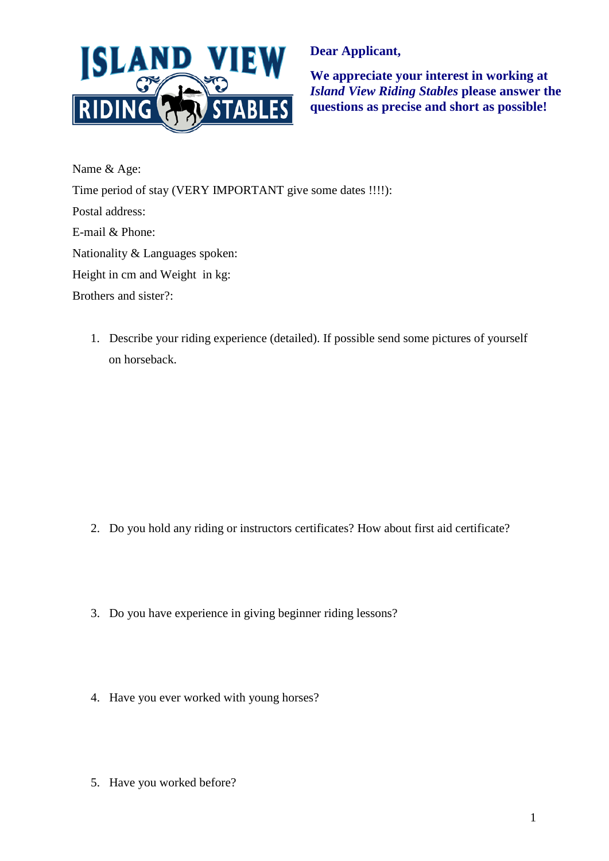

**Dear Applicant,** 

**We appreciate your interest in working at**  *Island View Riding Stables* **please answer the questions as precise and short as possible!** 

Name & Age: Time period of stay (VERY IMPORTANT give some dates !!!!): Postal address: E-mail & Phone: Nationality & Languages spoken: Height in cm and Weight in kg: Brothers and sister?:

1. Describe your riding experience (detailed). If possible send some pictures of yourself on horseback.

- 2. Do you hold any riding or instructors certificates? How about first aid certificate?
- 3. Do you have experience in giving beginner riding lessons?
- 4. Have you ever worked with young horses?
- 5. Have you worked before?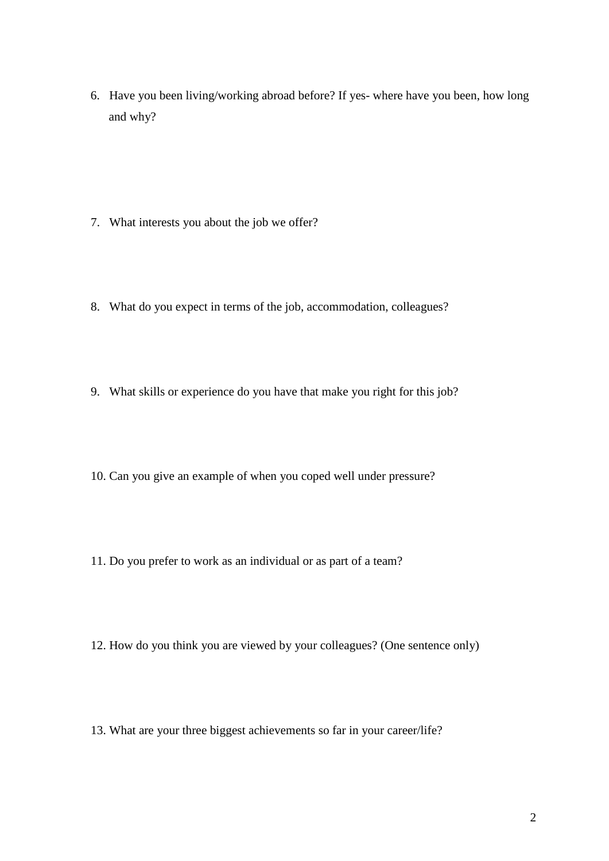6. Have you been living/working abroad before? If yes- where have you been, how long and why?

- 7. What interests you about the job we offer?
- 8. What do you expect in terms of the job, accommodation, colleagues?
- 9. What skills or experience do you have that make you right for this job?
- 10. Can you give an example of when you coped well under pressure?
- 11. Do you prefer to work as an individual or as part of a team?
- 12. How do you think you are viewed by your colleagues? (One sentence only)
- 13. What are your three biggest achievements so far in your career/life?